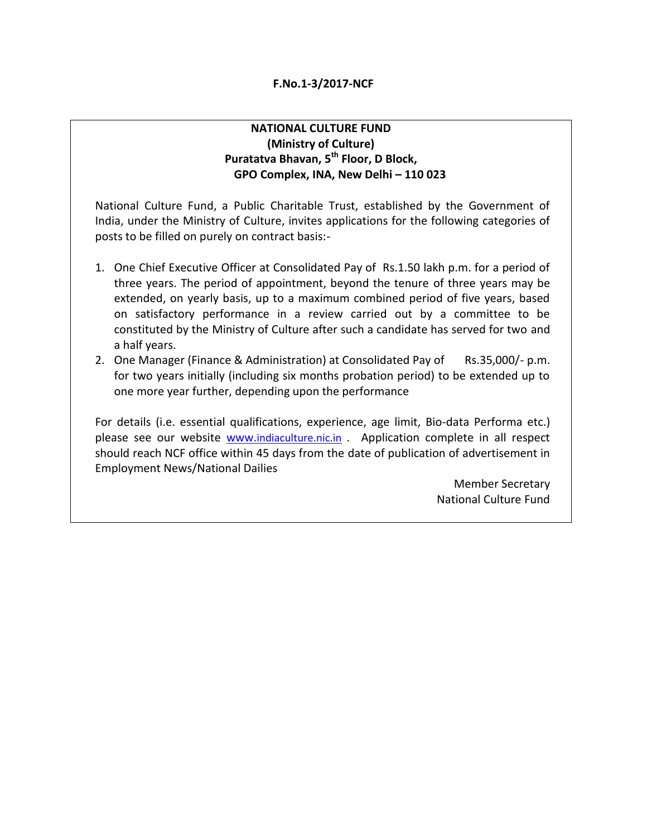#### **NATIONAL CULTURE FUND (Ministry of Culture) Puratatva Bhavan, 5th Floor, D Block, GPO Complex, INA, New Delhi – 110 023**

National Culture Fund, a Public Charitable Trust, established by the Government of India, under the Ministry of Culture, invites applications for the following categories of posts to be filled on purely on contract basis:-

- 1. One Chief Executive Officer at Consolidated Pay of Rs.1.50 lakh p.m. for a period of three years. The period of appointment, beyond the tenure of three years may be extended, on yearly basis, up to a maximum combined period of five years, based on satisfactory performance in a review carried out by a committee to be constituted by the Ministry of Culture after such a candidate has served for two and a half years.
- 2. One Manager (Finance & Administration) at Consolidated Pay of Rs.35,000/- p.m. for two years initially (including six months probation period) to be extended up to one more year further, depending upon the performance

For details (i.e. essential qualifications, experience, age limit, Bio-data Performa etc.) please see our website www.[indiaculture.nic.in](http://www.indiaculture.nic.in/) . Application complete in all respect should reach NCF office within 45 days from the date of publication of advertisement in Employment News/National Dailies

> Member Secretary National Culture Fund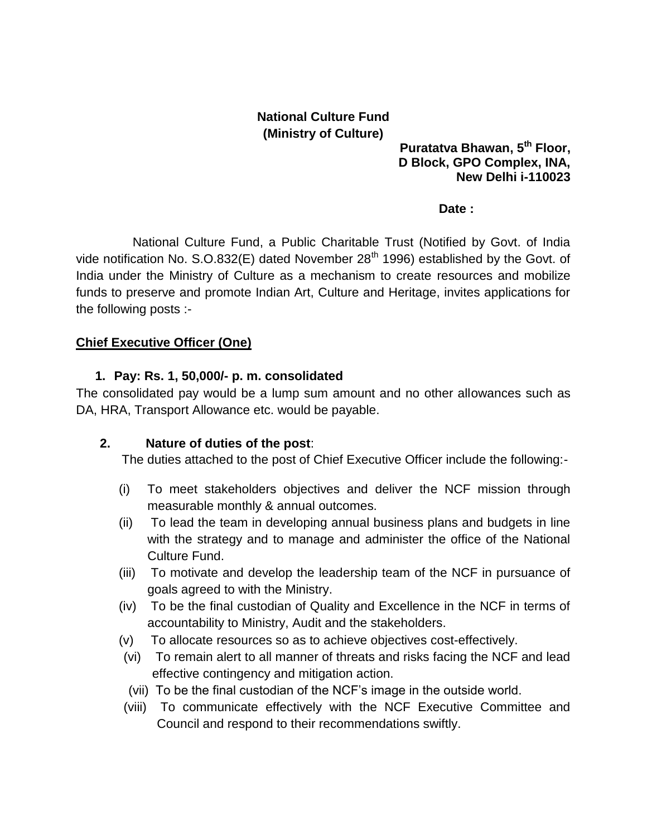# **National Culture Fund (Ministry of Culture)**

**Puratatva Bhawan, 5th Floor, D Block, GPO Complex, INA, New Delhi i-110023**

#### **Date :**

 National Culture Fund, a Public Charitable Trust (Notified by Govt. of India vide notification No. S.O.832(E) dated November  $28<sup>th</sup>$  1996) established by the Govt. of India under the Ministry of Culture as a mechanism to create resources and mobilize funds to preserve and promote Indian Art, Culture and Heritage, invites applications for the following posts :-

### **Chief Executive Officer (One)**

#### **1. Pay: Rs. 1, 50,000/- p. m. consolidated**

The consolidated pay would be a lump sum amount and no other allowances such as DA, HRA, Transport Allowance etc. would be payable.

### **2. Nature of duties of the post**:

The duties attached to the post of Chief Executive Officer include the following:-

- (i) To meet stakeholders objectives and deliver the NCF mission through measurable monthly & annual outcomes.
- (ii) To lead the team in developing annual business plans and budgets in line with the strategy and to manage and administer the office of the National Culture Fund.
- (iii) To motivate and develop the leadership team of the NCF in pursuance of goals agreed to with the Ministry.
- (iv) To be the final custodian of Quality and Excellence in the NCF in terms of accountability to Ministry, Audit and the stakeholders.
- (v) To allocate resources so as to achieve objectives cost-effectively.
- (vi) To remain alert to all manner of threats and risks facing the NCF and lead effective contingency and mitigation action.
- (vii) To be the final custodian of the NCF's image in the outside world.
- (viii) To communicate effectively with the NCF Executive Committee and Council and respond to their recommendations swiftly.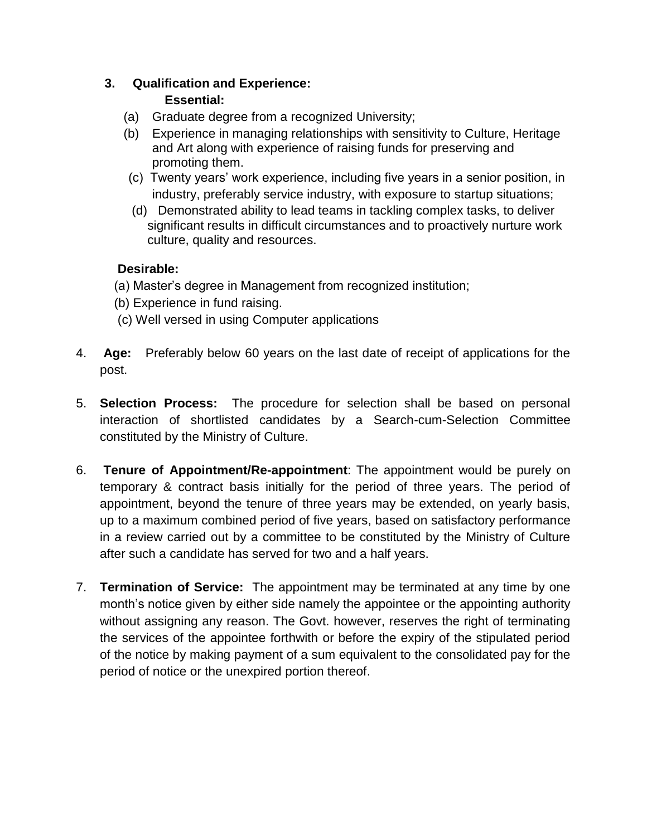## **3. Qualification and Experience: Essential:**

- (a) Graduate degree from a recognized University;
- (b) Experience in managing relationships with sensitivity to Culture, Heritage and Art along with experience of raising funds for preserving and promoting them.
- (c) Twenty years' work experience, including five years in a senior position, in industry, preferably service industry, with exposure to startup situations;
- (d) Demonstrated ability to lead teams in tackling complex tasks, to deliver significant results in difficult circumstances and to proactively nurture work culture, quality and resources.

## **Desirable:**

- (a) Master's degree in Management from recognized institution;
- (b) Experience in fund raising.
- (c) Well versed in using Computer applications
- 4. **Age:** Preferably below 60 years on the last date of receipt of applications for the post.
- 5. **Selection Process:** The procedure for selection shall be based on personal interaction of shortlisted candidates by a Search-cum-Selection Committee constituted by the Ministry of Culture.
- 6. **Tenure of Appointment/Re-appointment**: The appointment would be purely on temporary & contract basis initially for the period of three years. The period of appointment, beyond the tenure of three years may be extended, on yearly basis, up to a maximum combined period of five years, based on satisfactory performance in a review carried out by a committee to be constituted by the Ministry of Culture after such a candidate has served for two and a half years.
- 7. **Termination of Service:** The appointment may be terminated at any time by one month's notice given by either side namely the appointee or the appointing authority without assigning any reason. The Govt. however, reserves the right of terminating the services of the appointee forthwith or before the expiry of the stipulated period of the notice by making payment of a sum equivalent to the consolidated pay for the period of notice or the unexpired portion thereof.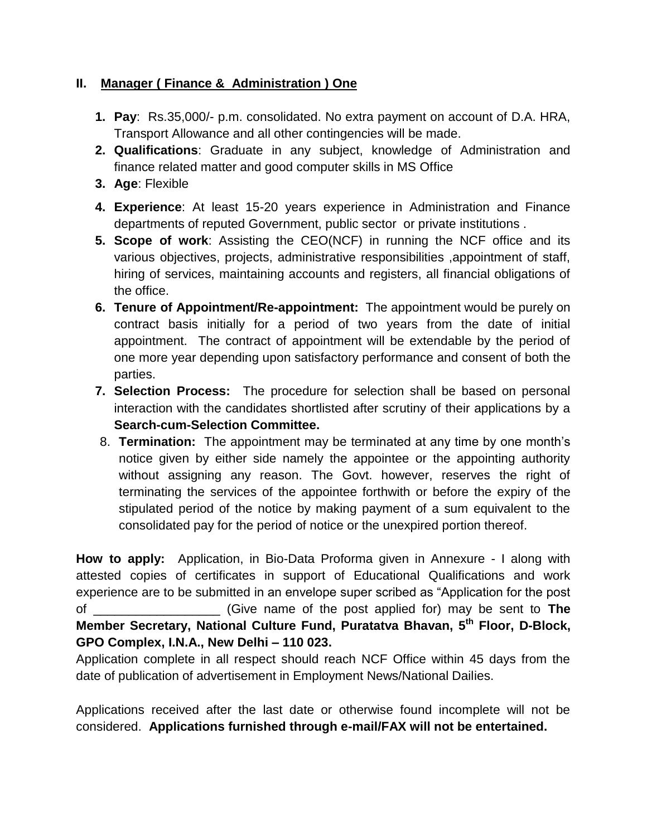## **II. Manager ( Finance & Administration ) One**

- **1. Pay**: Rs.35,000/- p.m. consolidated. No extra payment on account of D.A. HRA, Transport Allowance and all other contingencies will be made.
- **2. Qualifications**: Graduate in any subject, knowledge of Administration and finance related matter and good computer skills in MS Office
- **3. Age**: Flexible
- **4. Experience**: At least 15-20 years experience in Administration and Finance departments of reputed Government, public sector or private institutions .
- **5. Scope of work**: Assisting the CEO(NCF) in running the NCF office and its various objectives, projects, administrative responsibilities ,appointment of staff, hiring of services, maintaining accounts and registers, all financial obligations of the office.
- **6. Tenure of Appointment/Re-appointment:** The appointment would be purely on contract basis initially for a period of two years from the date of initial appointment. The contract of appointment will be extendable by the period of one more year depending upon satisfactory performance and consent of both the parties.
- **7. Selection Process:** The procedure for selection shall be based on personal interaction with the candidates shortlisted after scrutiny of their applications by a **Search-cum-Selection Committee.**
- 8. **Termination:** The appointment may be terminated at any time by one month's notice given by either side namely the appointee or the appointing authority without assigning any reason. The Govt. however, reserves the right of terminating the services of the appointee forthwith or before the expiry of the stipulated period of the notice by making payment of a sum equivalent to the consolidated pay for the period of notice or the unexpired portion thereof.

**How to apply:** Application, in Bio-Data Proforma given in Annexure - I along with attested copies of certificates in support of Educational Qualifications and work experience are to be submitted in an envelope super scribed as "Application for the post of \_\_\_\_\_\_\_\_\_\_\_\_\_\_\_\_\_\_ (Give name of the post applied for) may be sent to **The Member Secretary, National Culture Fund, Puratatva Bhavan, 5th Floor, D-Block, GPO Complex, I.N.A., New Delhi – 110 023.** 

Application complete in all respect should reach NCF Office within 45 days from the date of publication of advertisement in Employment News/National Dailies.

Applications received after the last date or otherwise found incomplete will not be considered. **Applications furnished through e-mail/FAX will not be entertained.**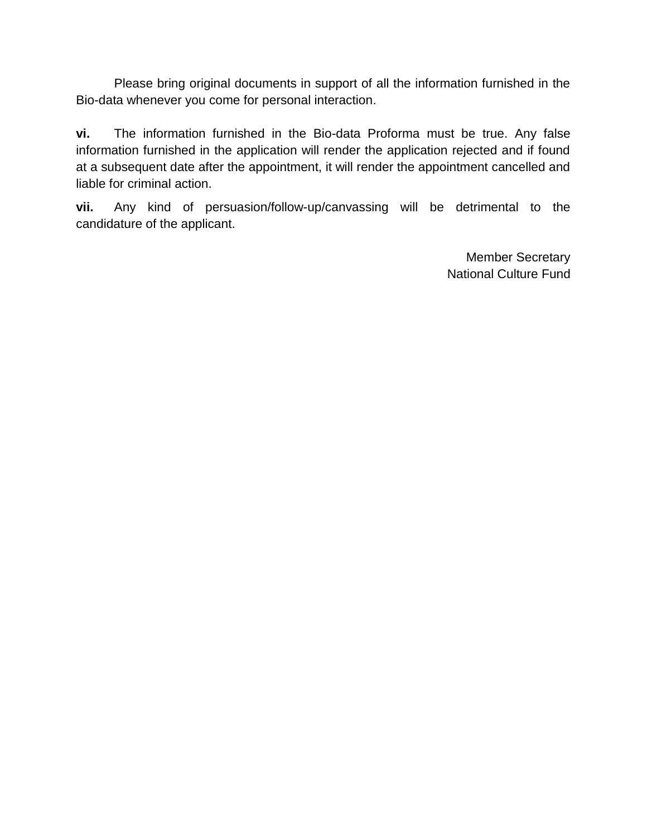Please bring original documents in support of all the information furnished in the Bio-data whenever you come for personal interaction.

**vi.** The information furnished in the Bio-data Proforma must be true. Any false information furnished in the application will render the application rejected and if found at a subsequent date after the appointment, it will render the appointment cancelled and liable for criminal action.

**vii.** Any kind of persuasion/follow-up/canvassing will be detrimental to the candidature of the applicant.

> Member Secretary National Culture Fund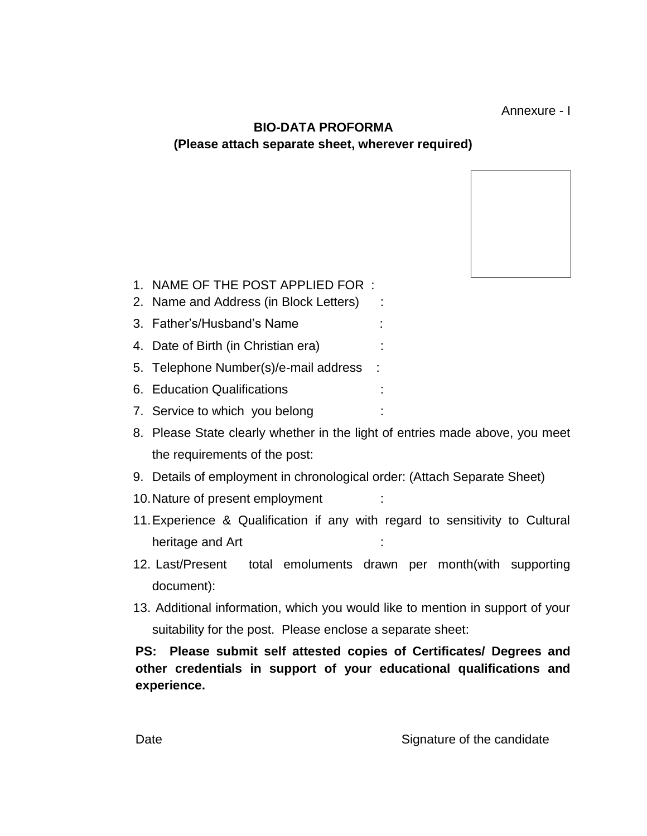Annexure - I

## **BIO-DATA PROFORMA (Please attach separate sheet, wherever required)**

- 1. NAME OF THE POST APPLIED FOR :
- 2. Name and Address (in Block Letters) :
- 3. Father's/Husband's Name :
- 4. Date of Birth (in Christian era) :
- 5. Telephone Number(s)/e-mail address :
- 6. Education Qualifications :
- 7. Service to which you belong :
- 8. Please State clearly whether in the light of entries made above, you meet the requirements of the post:
- 9. Details of employment in chronological order: (Attach Separate Sheet)
- 10. Nature of present employment
- 11.Experience & Qualification if any with regard to sensitivity to Cultural heritage and Art
- 12. Last/Present total emoluments drawn per month(with supporting document):
- 13. Additional information, which you would like to mention in support of your suitability for the post. Please enclose a separate sheet:

## **PS: Please submit self attested copies of Certificates/ Degrees and other credentials in support of your educational qualifications and experience.**